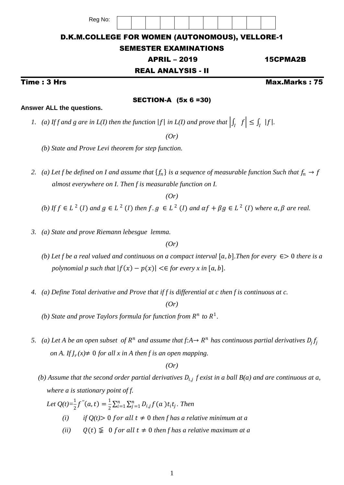# D.K.M.COLLEGE FOR WOMEN (AUTONOMOUS), VELLORE-1

## SEMESTER EXAMINATIONS

## APRIL – 2019 15CPMA2B

## REAL ANALYSIS - II

SECTION-A (5x 6 =30)

Time : 3 Hrs Max.Marks : 75

#### **Answer ALL the questions.**

1. (a) If f and g are in  $L(I)$  then the function  $|f|$  in  $L(I)$  and prove that  $\left| \int_I f \right| \leq \int_I |f|$ .

*(Or)*

*(b) State and Prove Levi theorem for step function.*

Reg No:

2. (a) Let f be defined on I and assume that  $\{f_n\}$  is a sequence of measurable function Such that  $f_n \to f$  *almost everywhere on I. Then f is measurable function on I.*

*(Or)*

- (b) If  $f \in L^2(I)$  and  $g \in L^2(I)$  then  $f, g \in L^2(I)$  and  $\alpha f + \beta g \in L^2(I)$  where  $\alpha, \beta$  are real.
	- *3. (a) State and prove Riemann lebesgue lemma.*

*(Or)*

- *(b)* Let f be a real valued and continuous on a compact interval  $[a, b]$ . Then for every  $\epsilon > 0$  there is a *polynomial p such that*  $|f(x) - p(x)| \leq \epsilon$  *for every x in* [a, b].
- *4. (a) Define Total derivative and Prove that if f is differential at c then f is continuous at c.*

*(Or)*

- *(b)* State and prove Taylors formula for function from  $R^n$  to  $R^1$ .
	- 5. (a) Let A be an open subset of  $R^n$  and assume that  $f: A \to R^n$  has continuous partial derivatives  $D_j f_j$ *on A. If*  $J_r(x) \neq 0$  *for all x in A then f is an open mapping.*

*(Or)*

*(b)* Assume that the second order partial derivatives  $D_{i,j}$  f exist in a ball  $B(a)$  and are continuous at a,  *where a is stationary point of f.*

Let  $Q(t)=\frac{1}{2}f''(a,t)=\frac{1}{2}$  $\frac{1}{2}\sum_{i=1}^n\sum_{j=1}^n D_{i,j}f(a) t_i t_j$ . Then

- *(i)* if  $Q(t) > 0$  for all  $t \neq 0$  then f has a relative minimum at a
- *(ii)*  $Q(t) \n\leq 0$  *for all*  $t \neq 0$  *then f has a relative maximum at a*